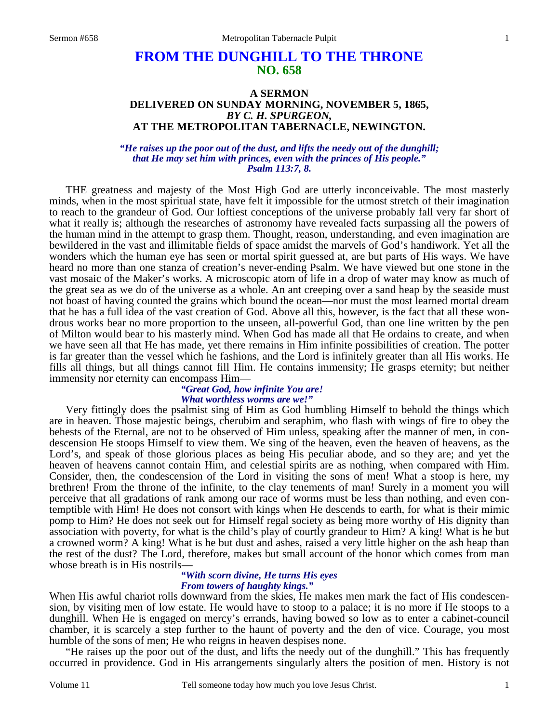# **FROM THE DUNGHILL TO THE THRONE NO. 658**

### **A SERMON DELIVERED ON SUNDAY MORNING, NOVEMBER 5, 1865,**  *BY C. H. SPURGEON,*  **AT THE METROPOLITAN TABERNACLE, NEWINGTON.**

#### *"He raises up the poor out of the dust, and lifts the needy out of the dunghill; that He may set him with princes, even with the princes of His people." Psalm 113:7, 8.*

 THE greatness and majesty of the Most High God are utterly inconceivable. The most masterly minds, when in the most spiritual state, have felt it impossible for the utmost stretch of their imagination to reach to the grandeur of God. Our loftiest conceptions of the universe probably fall very far short of what it really is; although the researches of astronomy have revealed facts surpassing all the powers of the human mind in the attempt to grasp them. Thought, reason, understanding, and even imagination are bewildered in the vast and illimitable fields of space amidst the marvels of God's handiwork. Yet all the wonders which the human eye has seen or mortal spirit guessed at, are but parts of His ways. We have heard no more than one stanza of creation's never-ending Psalm. We have viewed but one stone in the vast mosaic of the Maker's works. A microscopic atom of life in a drop of water may know as much of the great sea as we do of the universe as a whole. An ant creeping over a sand heap by the seaside must not boast of having counted the grains which bound the ocean—nor must the most learned mortal dream that he has a full idea of the vast creation of God. Above all this, however, is the fact that all these wondrous works bear no more proportion to the unseen, all-powerful God, than one line written by the pen of Milton would bear to his masterly mind. When God has made all that He ordains to create, and when we have seen all that He has made, yet there remains in Him infinite possibilities of creation. The potter is far greater than the vessel which he fashions, and the Lord is infinitely greater than all His works. He fills all things, but all things cannot fill Him. He contains immensity; He grasps eternity; but neither immensity nor eternity can encompass Him—

# *"Great God, how infinite You are! What worthless worms are we!"*

 Very fittingly does the psalmist sing of Him as God humbling Himself to behold the things which are in heaven. Those majestic beings, cherubim and seraphim, who flash with wings of fire to obey the behests of the Eternal, are not to be observed of Him unless, speaking after the manner of men, in condescension He stoops Himself to view them. We sing of the heaven, even the heaven of heavens, as the Lord's, and speak of those glorious places as being His peculiar abode, and so they are; and yet the heaven of heavens cannot contain Him, and celestial spirits are as nothing, when compared with Him. Consider, then, the condescension of the Lord in visiting the sons of men! What a stoop is here, my brethren! From the throne of the infinite, to the clay tenements of man! Surely in a moment you will perceive that all gradations of rank among our race of worms must be less than nothing, and even contemptible with Him! He does not consort with kings when He descends to earth, for what is their mimic pomp to Him? He does not seek out for Himself regal society as being more worthy of His dignity than association with poverty, for what is the child's play of courtly grandeur to Him? A king! What is he but a crowned worm? A king! What is he but dust and ashes, raised a very little higher on the ash heap than the rest of the dust? The Lord, therefore, makes but small account of the honor which comes from man whose breath is in His nostrils—

## *"With scorn divine, He turns His eyes From towers of haughty kings."*

When His awful chariot rolls downward from the skies, He makes men mark the fact of His condescension, by visiting men of low estate. He would have to stoop to a palace; it is no more if He stoops to a dunghill. When He is engaged on mercy's errands, having bowed so low as to enter a cabinet-council chamber, it is scarcely a step further to the haunt of poverty and the den of vice. Courage, you most humble of the sons of men; He who reigns in heaven despises none.

 "He raises up the poor out of the dust, and lifts the needy out of the dunghill." This has frequently occurred in providence. God in His arrangements singularly alters the position of men. History is not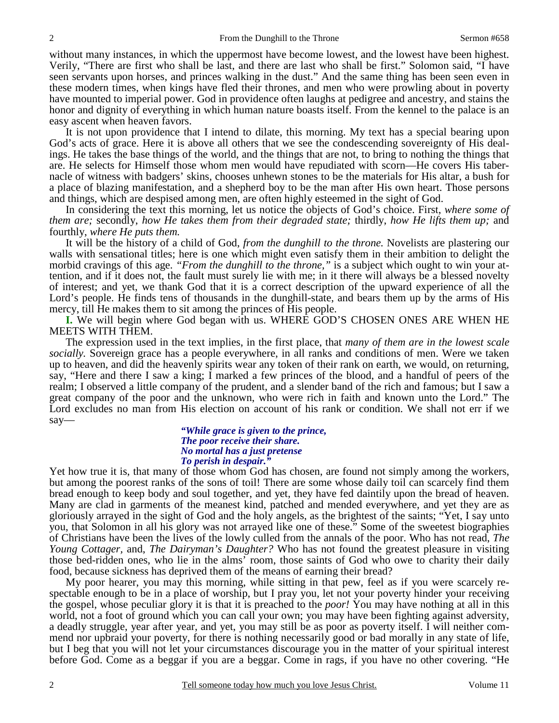without many instances, in which the uppermost have become lowest, and the lowest have been highest. Verily, "There are first who shall be last, and there are last who shall be first." Solomon said, "I have seen servants upon horses, and princes walking in the dust." And the same thing has been seen even in these modern times, when kings have fled their thrones, and men who were prowling about in poverty have mounted to imperial power. God in providence often laughs at pedigree and ancestry, and stains the honor and dignity of everything in which human nature boasts itself. From the kennel to the palace is an easy ascent when heaven favors.

 It is not upon providence that I intend to dilate, this morning. My text has a special bearing upon God's acts of grace. Here it is above all others that we see the condescending sovereignty of His dealings. He takes the base things of the world, and the things that are not, to bring to nothing the things that are. He selects for Himself those whom men would have repudiated with scorn—He covers His tabernacle of witness with badgers' skins, chooses unhewn stones to be the materials for His altar, a bush for a place of blazing manifestation, and a shepherd boy to be the man after His own heart. Those persons and things, which are despised among men, are often highly esteemed in the sight of God.

 In considering the text this morning, let us notice the objects of God's choice. First, *where some of them are;* secondly, *how He takes them from their degraded state;* thirdly, *how He lifts them up;* and fourthly, *where He puts them.*

 It will be the history of a child of God, *from the dunghill to the throne.* Novelists are plastering our walls with sensational titles; here is one which might even satisfy them in their ambition to delight the morbid cravings of this age. *"From the dunghill to the throne,"* is a subject which ought to win your attention, and if it does not, the fault must surely lie with me; in it there will always be a blessed novelty of interest; and yet, we thank God that it is a correct description of the upward experience of all the Lord's people. He finds tens of thousands in the dunghill-state, and bears them up by the arms of His mercy, till He makes them to sit among the princes of His people.

**I.** We will begin where God began with us. WHERE GOD'S CHOSEN ONES ARE WHEN HE MEETS WITH THEM.

 The expression used in the text implies, in the first place, that *many of them are in the lowest scale socially.* Sovereign grace has a people everywhere, in all ranks and conditions of men. Were we taken up to heaven, and did the heavenly spirits wear any token of their rank on earth, we would, on returning, say, "Here and there I saw a king; I marked a few princes of the blood, and a handful of peers of the realm; I observed a little company of the prudent, and a slender band of the rich and famous; but I saw a great company of the poor and the unknown, who were rich in faith and known unto the Lord." The Lord excludes no man from His election on account of his rank or condition. We shall not err if we say—

#### *"While grace is given to the prince, The poor receive their share. No mortal has a just pretense To perish in despair."*

Yet how true it is, that many of those whom God has chosen, are found not simply among the workers, but among the poorest ranks of the sons of toil! There are some whose daily toil can scarcely find them bread enough to keep body and soul together, and yet, they have fed daintily upon the bread of heaven. Many are clad in garments of the meanest kind, patched and mended everywhere, and yet they are as gloriously arrayed in the sight of God and the holy angels, as the brightest of the saints; "Yet, I say unto you, that Solomon in all his glory was not arrayed like one of these." Some of the sweetest biographies of Christians have been the lives of the lowly culled from the annals of the poor. Who has not read, *The Young Cottager,* and, *The Dairyman's Daughter?* Who has not found the greatest pleasure in visiting those bed-ridden ones, who lie in the alms' room, those saints of God who owe to charity their daily food, because sickness has deprived them of the means of earning their bread?

 My poor hearer, you may this morning, while sitting in that pew, feel as if you were scarcely respectable enough to be in a place of worship, but I pray you, let not your poverty hinder your receiving the gospel, whose peculiar glory it is that it is preached to the *poor!* You may have nothing at all in this world, not a foot of ground which you can call your own; you may have been fighting against adversity, a deadly struggle, year after year, and yet, you may still be as poor as poverty itself. I will neither commend nor upbraid your poverty, for there is nothing necessarily good or bad morally in any state of life, but I beg that you will not let your circumstances discourage you in the matter of your spiritual interest before God. Come as a beggar if you are a beggar. Come in rags, if you have no other covering. "He

2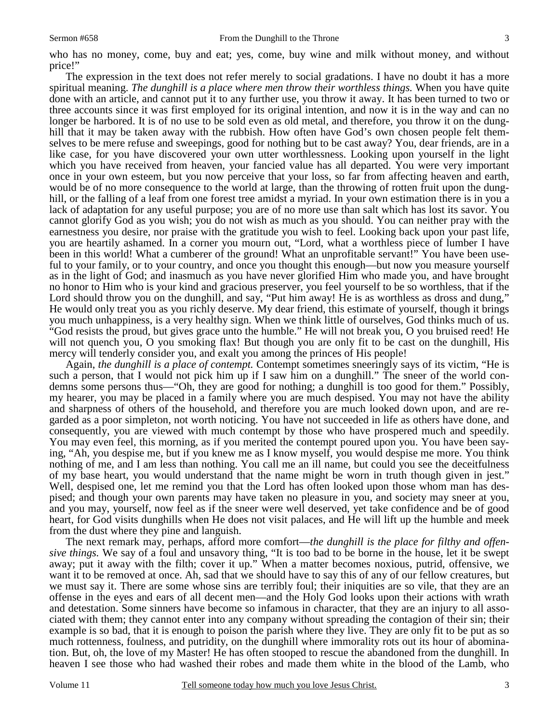The expression in the text does not refer merely to social gradations. I have no doubt it has a more spiritual meaning. *The dunghill is a place where men throw their worthless things.* When you have quite done with an article, and cannot put it to any further use, you throw it away. It has been turned to two or three accounts since it was first employed for its original intention, and now it is in the way and can no longer be harbored. It is of no use to be sold even as old metal, and therefore, you throw it on the dunghill that it may be taken away with the rubbish. How often have God's own chosen people felt themselves to be mere refuse and sweepings, good for nothing but to be cast away? You, dear friends, are in a like case, for you have discovered your own utter worthlessness. Looking upon yourself in the light which you have received from heaven, your fancied value has all departed. You were very important once in your own esteem, but you now perceive that your loss, so far from affecting heaven and earth, would be of no more consequence to the world at large, than the throwing of rotten fruit upon the dunghill, or the falling of a leaf from one forest tree amidst a myriad. In your own estimation there is in you a lack of adaptation for any useful purpose; you are of no more use than salt which has lost its savor. You cannot glorify God as you wish; you do not wish as much as you should. You can neither pray with the earnestness you desire, nor praise with the gratitude you wish to feel. Looking back upon your past life, you are heartily ashamed. In a corner you mourn out, "Lord, what a worthless piece of lumber I have been in this world! What a cumberer of the ground! What an unprofitable servant!" You have been useful to your family, or to your country, and once you thought this enough—but now you measure yourself as in the light of God; and inasmuch as you have never glorified Him who made you, and have brought no honor to Him who is your kind and gracious preserver, you feel yourself to be so worthless, that if the Lord should throw you on the dunghill, and say, "Put him away! He is as worthless as dross and dung," He would only treat you as you richly deserve. My dear friend, this estimate of yourself, though it brings you much unhappiness, is a very healthy sign. When we think little of ourselves, God thinks much of us. "God resists the proud, but gives grace unto the humble." He will not break you, O you bruised reed! He will not quench you, O you smoking flax! But though you are only fit to be cast on the dunghill, His mercy will tenderly consider you, and exalt you among the princes of His people!

 Again, *the dunghill is a place of contempt.* Contempt sometimes sneeringly says of its victim, "He is such a person, that I would not pick him up if I saw him on a dunghill." The sneer of the world condemns some persons thus—"Oh, they are good for nothing; a dunghill is too good for them." Possibly, my hearer, you may be placed in a family where you are much despised. You may not have the ability and sharpness of others of the household, and therefore you are much looked down upon, and are regarded as a poor simpleton, not worth noticing. You have not succeeded in life as others have done, and consequently, you are viewed with much contempt by those who have prospered much and speedily. You may even feel, this morning, as if you merited the contempt poured upon you. You have been saying, "Ah, you despise me, but if you knew me as I know myself, you would despise me more. You think nothing of me, and I am less than nothing. You call me an ill name, but could you see the deceitfulness of my base heart, you would understand that the name might be worn in truth though given in jest." Well, despised one, let me remind you that the Lord has often looked upon those whom man has despised; and though your own parents may have taken no pleasure in you, and society may sneer at you, and you may, yourself, now feel as if the sneer were well deserved, yet take confidence and be of good heart, for God visits dunghills when He does not visit palaces, and He will lift up the humble and meek from the dust where they pine and languish.

 The next remark may, perhaps, afford more comfort—*the dunghill is the place for filthy and offensive things.* We say of a foul and unsavory thing, "It is too bad to be borne in the house, let it be swept away; put it away with the filth; cover it up." When a matter becomes noxious, putrid, offensive, we want it to be removed at once. Ah, sad that we should have to say this of any of our fellow creatures, but we must say it. There are some whose sins are terribly foul; their iniquities are so vile, that they are an offense in the eyes and ears of all decent men—and the Holy God looks upon their actions with wrath and detestation. Some sinners have become so infamous in character, that they are an injury to all associated with them; they cannot enter into any company without spreading the contagion of their sin; their example is so bad, that it is enough to poison the parish where they live. They are only fit to be put as so much rottenness, foulness, and putridity, on the dunghill where immorality rots out its hour of abomination. But, oh, the love of my Master! He has often stooped to rescue the abandoned from the dunghill. In heaven I see those who had washed their robes and made them white in the blood of the Lamb, who

3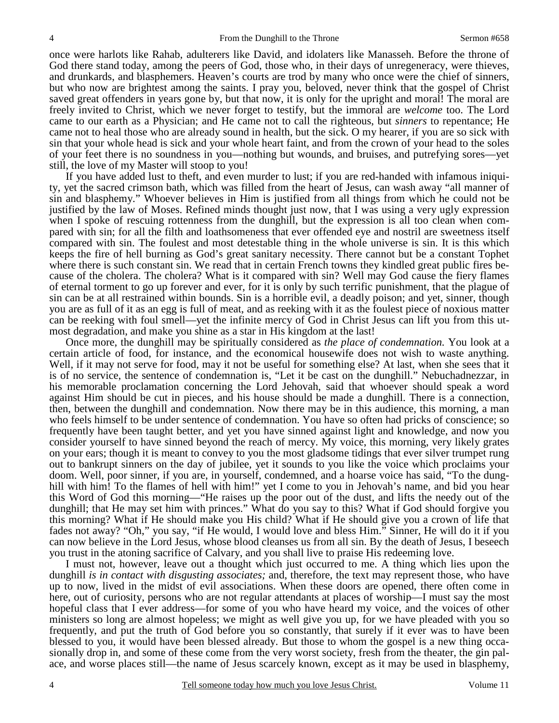once were harlots like Rahab, adulterers like David, and idolaters like Manasseh. Before the throne of God there stand today, among the peers of God, those who, in their days of unregeneracy, were thieves, and drunkards, and blasphemers. Heaven's courts are trod by many who once were the chief of sinners, but who now are brightest among the saints. I pray you, beloved, never think that the gospel of Christ saved great offenders in years gone by, but that now, it is only for the upright and moral! The moral are freely invited to Christ, which we never forget to testify, but the immoral are *welcome* too. The Lord came to our earth as a Physician; and He came not to call the righteous, but *sinners* to repentance; He came not to heal those who are already sound in health, but the sick. O my hearer, if you are so sick with sin that your whole head is sick and your whole heart faint, and from the crown of your head to the soles of your feet there is no soundness in you—nothing but wounds, and bruises, and putrefying sores—yet still, the love of my Master will stoop to you!

 If you have added lust to theft, and even murder to lust; if you are red-handed with infamous iniquity, yet the sacred crimson bath, which was filled from the heart of Jesus, can wash away "all manner of sin and blasphemy." Whoever believes in Him is justified from all things from which he could not be justified by the law of Moses. Refined minds thought just now, that I was using a very ugly expression when I spoke of rescuing rottenness from the dunghill, but the expression is all too clean when compared with sin; for all the filth and loathsomeness that ever offended eye and nostril are sweetness itself compared with sin. The foulest and most detestable thing in the whole universe is sin. It is this which keeps the fire of hell burning as God's great sanitary necessity. There cannot but be a constant Tophet where there is such constant sin. We read that in certain French towns they kindled great public fires because of the cholera. The cholera? What is it compared with sin? Well may God cause the fiery flames of eternal torment to go up forever and ever, for it is only by such terrific punishment, that the plague of sin can be at all restrained within bounds. Sin is a horrible evil, a deadly poison; and yet, sinner, though you are as full of it as an egg is full of meat, and as reeking with it as the foulest piece of noxious matter can be reeking with foul smell—yet the infinite mercy of God in Christ Jesus can lift you from this utmost degradation, and make you shine as a star in His kingdom at the last!

 Once more, the dunghill may be spiritually considered as *the place of condemnation.* You look at a certain article of food, for instance, and the economical housewife does not wish to waste anything. Well, if it may not serve for food, may it not be useful for something else? At last, when she sees that it is of no service, the sentence of condemnation is, "Let it be cast on the dunghill." Nebuchadnezzar, in his memorable proclamation concerning the Lord Jehovah, said that whoever should speak a word against Him should be cut in pieces, and his house should be made a dunghill. There is a connection, then, between the dunghill and condemnation. Now there may be in this audience, this morning, a man who feels himself to be under sentence of condemnation. You have so often had pricks of conscience; so frequently have been taught better, and yet you have sinned against light and knowledge, and now you consider yourself to have sinned beyond the reach of mercy. My voice, this morning, very likely grates on your ears; though it is meant to convey to you the most gladsome tidings that ever silver trumpet rung out to bankrupt sinners on the day of jubilee, yet it sounds to you like the voice which proclaims your doom. Well, poor sinner, if you are, in yourself, condemned, and a hoarse voice has said, "To the dunghill with him! To the flames of hell with him!" yet I come to you in Jehovah's name, and bid you hear this Word of God this morning—"He raises up the poor out of the dust, and lifts the needy out of the dunghill; that He may set him with princes." What do you say to this? What if God should forgive you this morning? What if He should make you His child? What if He should give you a crown of life that fades not away? "Oh," you say, "if He would, I would love and bless Him." Sinner, He will do it if you can now believe in the Lord Jesus, whose blood cleanses us from all sin. By the death of Jesus, I beseech you trust in the atoning sacrifice of Calvary, and you shall live to praise His redeeming love.

 I must not, however, leave out a thought which just occurred to me. A thing which lies upon the dunghill *is in contact with disgusting associates;* and, therefore, the text may represent those, who have up to now, lived in the midst of evil associations. When these doors are opened, there often come in here, out of curiosity, persons who are not regular attendants at places of worship—I must say the most hopeful class that I ever address—for some of you who have heard my voice, and the voices of other ministers so long are almost hopeless; we might as well give you up, for we have pleaded with you so frequently, and put the truth of God before you so constantly, that surely if it ever was to have been blessed to you, it would have been blessed already. But those to whom the gospel is a new thing occasionally drop in, and some of these come from the very worst society, fresh from the theater, the gin palace, and worse places still—the name of Jesus scarcely known, except as it may be used in blasphemy,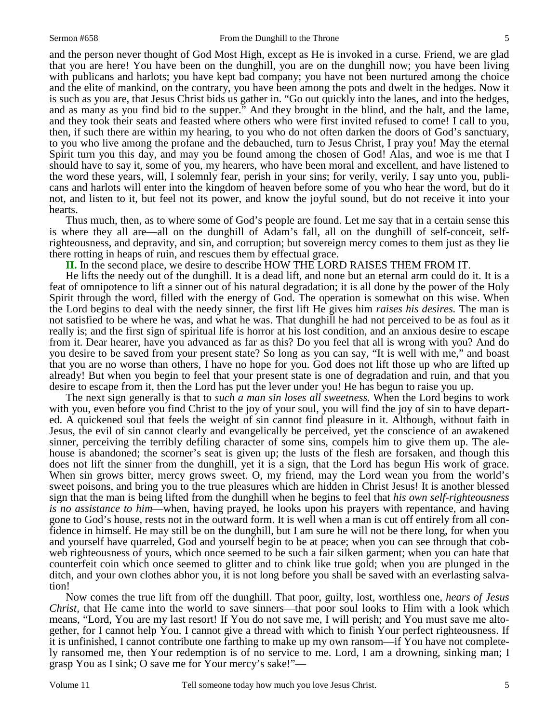5

and the person never thought of God Most High, except as He is invoked in a curse. Friend, we are glad that you are here! You have been on the dunghill, you are on the dunghill now; you have been living with publicans and harlots; you have kept bad company; you have not been nurtured among the choice and the elite of mankind, on the contrary, you have been among the pots and dwelt in the hedges. Now it is such as you are, that Jesus Christ bids us gather in. "Go out quickly into the lanes, and into the hedges, and as many as you find bid to the supper." And they brought in the blind, and the halt, and the lame, and they took their seats and feasted where others who were first invited refused to come! I call to you, then, if such there are within my hearing, to you who do not often darken the doors of God's sanctuary, to you who live among the profane and the debauched, turn to Jesus Christ, I pray you! May the eternal Spirit turn you this day, and may you be found among the chosen of God! Alas, and woe is me that I should have to say it, some of you, my hearers, who have been moral and excellent, and have listened to the word these years, will, I solemnly fear, perish in your sins; for verily, verily, I say unto you, publicans and harlots will enter into the kingdom of heaven before some of you who hear the word, but do it not, and listen to it, but feel not its power, and know the joyful sound, but do not receive it into your hearts.

 Thus much, then, as to where some of God's people are found. Let me say that in a certain sense this is where they all are—all on the dunghill of Adam's fall, all on the dunghill of self-conceit, selfrighteousness, and depravity, and sin, and corruption; but sovereign mercy comes to them just as they lie there rotting in heaps of ruin, and rescues them by effectual grace.

**II.** In the second place, we desire to describe HOW THE LORD RAISES THEM FROM IT.

 He lifts the needy out of the dunghill. It is a dead lift, and none but an eternal arm could do it. It is a feat of omnipotence to lift a sinner out of his natural degradation; it is all done by the power of the Holy Spirit through the word, filled with the energy of God. The operation is somewhat on this wise. When the Lord begins to deal with the needy sinner, the first lift He gives him *raises his desires.* The man is not satisfied to be where he was, and what he was. That dunghill he had not perceived to be as foul as it really is; and the first sign of spiritual life is horror at his lost condition, and an anxious desire to escape from it. Dear hearer, have you advanced as far as this? Do you feel that all is wrong with you? And do you desire to be saved from your present state? So long as you can say, "It is well with me," and boast that you are no worse than others, I have no hope for you. God does not lift those up who are lifted up already! But when you begin to feel that your present state is one of degradation and ruin, and that you desire to escape from it, then the Lord has put the lever under you! He has begun to raise you up.

 The next sign generally is that to *such a man sin loses all sweetness.* When the Lord begins to work with you, even before you find Christ to the joy of your soul, you will find the joy of sin to have departed. A quickened soul that feels the weight of sin cannot find pleasure in it. Although, without faith in Jesus, the evil of sin cannot clearly and evangelically be perceived, yet the conscience of an awakened sinner, perceiving the terribly defiling character of some sins, compels him to give them up. The alehouse is abandoned; the scorner's seat is given up; the lusts of the flesh are forsaken, and though this does not lift the sinner from the dunghill, yet it is a sign, that the Lord has begun His work of grace. When sin grows bitter, mercy grows sweet. O, my friend, may the Lord wean you from the world's sweet poisons, and bring you to the true pleasures which are hidden in Christ Jesus! It is another blessed sign that the man is being lifted from the dunghill when he begins to feel that *his own self-righteousness is no assistance to him*—when, having prayed, he looks upon his prayers with repentance, and having gone to God's house, rests not in the outward form. It is well when a man is cut off entirely from all confidence in himself. He may still be on the dunghill, but I am sure he will not be there long, for when you and yourself have quarreled, God and yourself begin to be at peace; when you can see through that cobweb righteousness of yours, which once seemed to be such a fair silken garment; when you can hate that counterfeit coin which once seemed to glitter and to chink like true gold; when you are plunged in the ditch, and your own clothes abhor you, it is not long before you shall be saved with an everlasting salvation!

 Now comes the true lift from off the dunghill. That poor, guilty, lost, worthless one, *hears of Jesus Christ,* that He came into the world to save sinners—that poor soul looks to Him with a look which means, "Lord, You are my last resort! If You do not save me, I will perish; and You must save me altogether, for I cannot help You. I cannot give a thread with which to finish Your perfect righteousness. If it is unfinished, I cannot contribute one farthing to make up my own ransom—if You have not completely ransomed me, then Your redemption is of no service to me. Lord, I am a drowning, sinking man; I grasp You as I sink; O save me for Your mercy's sake!"—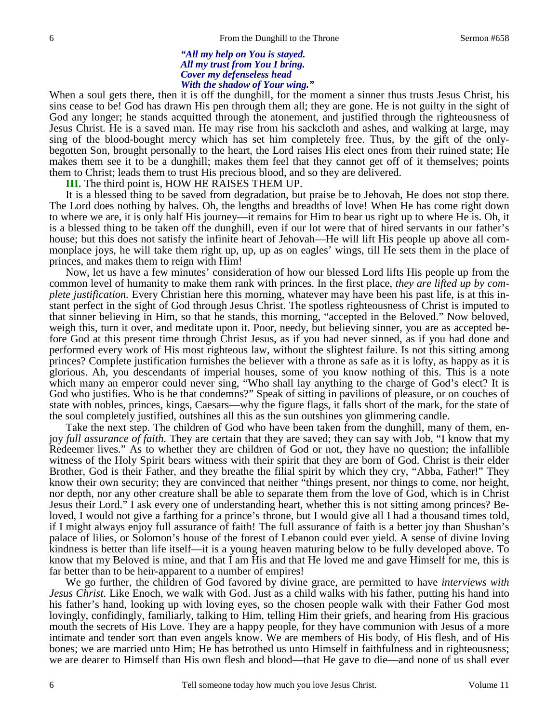#### *"All my help on You is stayed. All my trust from You I bring. Cover my defenseless head With the shadow of Your wing."*

When a soul gets there, then it is off the dunghill, for the moment a sinner thus trusts Jesus Christ, his sins cease to be! God has drawn His pen through them all; they are gone. He is not guilty in the sight of God any longer; he stands acquitted through the atonement, and justified through the righteousness of Jesus Christ. He is a saved man. He may rise from his sackcloth and ashes, and walking at large, may sing of the blood-bought mercy which has set him completely free. Thus, by the gift of the onlybegotten Son, brought personally to the heart, the Lord raises His elect ones from their ruined state; He makes them see it to be a dunghill; makes them feel that they cannot get off of it themselves; points them to Christ; leads them to trust His precious blood, and so they are delivered.

**III.** The third point is, HOW HE RAISES THEM UP.

 It is a blessed thing to be saved from degradation, but praise be to Jehovah, He does not stop there. The Lord does nothing by halves. Oh, the lengths and breadths of love! When He has come right down to where we are, it is only half His journey—it remains for Him to bear us right up to where He is. Oh, it is a blessed thing to be taken off the dunghill, even if our lot were that of hired servants in our father's house; but this does not satisfy the infinite heart of Jehovah—He will lift His people up above all commonplace joys, he will take them right up, up, up as on eagles' wings, till He sets them in the place of princes, and makes them to reign with Him!

 Now, let us have a few minutes' consideration of how our blessed Lord lifts His people up from the common level of humanity to make them rank with princes. In the first place, *they are lifted up by complete justification.* Every Christian here this morning, whatever may have been his past life, is at this instant perfect in the sight of God through Jesus Christ. The spotless righteousness of Christ is imputed to that sinner believing in Him, so that he stands, this morning, "accepted in the Beloved." Now beloved, weigh this, turn it over, and meditate upon it. Poor, needy, but believing sinner, you are as accepted before God at this present time through Christ Jesus, as if you had never sinned, as if you had done and performed every work of His most righteous law, without the slightest failure. Is not this sitting among princes? Complete justification furnishes the believer with a throne as safe as it is lofty, as happy as it is glorious. Ah, you descendants of imperial houses, some of you know nothing of this. This is a note which many an emperor could never sing, "Who shall lay anything to the charge of God's elect? It is God who justifies. Who is he that condemns?" Speak of sitting in pavilions of pleasure, or on couches of state with nobles, princes, kings, Caesars—why the figure flags, it falls short of the mark, for the state of the soul completely justified, outshines all this as the sun outshines yon glimmering candle.

 Take the next step. The children of God who have been taken from the dunghill, many of them, enjoy *full assurance of faith.* They are certain that they are saved; they can say with Job, "I know that my Redeemer lives." As to whether they are children of God or not, they have no question; the infallible witness of the Holy Spirit bears witness with their spirit that they are born of God. Christ is their elder Brother, God is their Father, and they breathe the filial spirit by which they cry, "Abba, Father!" They know their own security; they are convinced that neither "things present, nor things to come, nor height, nor depth, nor any other creature shall be able to separate them from the love of God, which is in Christ Jesus their Lord." I ask every one of understanding heart, whether this is not sitting among princes? Beloved, I would not give a farthing for a prince's throne, but I would give all I had a thousand times told, if I might always enjoy full assurance of faith! The full assurance of faith is a better joy than Shushan's palace of lilies, or Solomon's house of the forest of Lebanon could ever yield. A sense of divine loving kindness is better than life itself—it is a young heaven maturing below to be fully developed above. To know that my Beloved is mine, and that I am His and that He loved me and gave Himself for me, this is far better than to be heir-apparent to a number of empires!

 We go further, the children of God favored by divine grace, are permitted to have *interviews with Jesus Christ.* Like Enoch, we walk with God. Just as a child walks with his father, putting his hand into his father's hand, looking up with loving eyes, so the chosen people walk with their Father God most lovingly, confidingly, familiarly, talking to Him, telling Him their griefs, and hearing from His gracious mouth the secrets of His Love. They are a happy people, for they have communion with Jesus of a more intimate and tender sort than even angels know. We are members of His body, of His flesh, and of His bones; we are married unto Him; He has betrothed us unto Himself in faithfulness and in righteousness; we are dearer to Himself than His own flesh and blood—that He gave to die—and none of us shall ever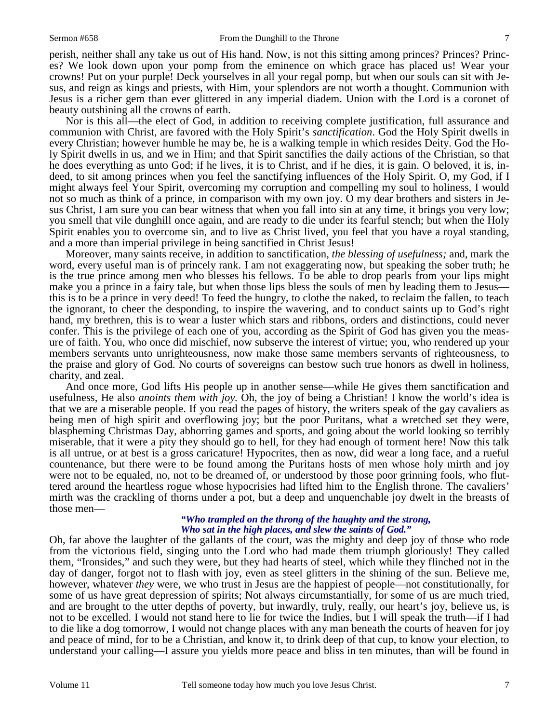perish, neither shall any take us out of His hand. Now, is not this sitting among princes? Princes? Princes? We look down upon your pomp from the eminence on which grace has placed us! Wear your crowns! Put on your purple! Deck yourselves in all your regal pomp, but when our souls can sit with Jesus, and reign as kings and priests, with Him, your splendors are not worth a thought. Communion with Jesus is a richer gem than ever glittered in any imperial diadem. Union with the Lord is a coronet of beauty outshining all the crowns of earth.

 Nor is this all—the elect of God, in addition to receiving complete justification, full assurance and communion with Christ, are favored with the Holy Spirit's *sanctification*. God the Holy Spirit dwells in every Christian; however humble he may be, he is a walking temple in which resides Deity. God the Holy Spirit dwells in us, and we in Him; and that Spirit sanctifies the daily actions of the Christian, so that he does everything as unto God; if he lives, it is to Christ, and if he dies, it is gain. O beloved, it is, indeed, to sit among princes when you feel the sanctifying influences of the Holy Spirit. O, my God, if I might always feel Your Spirit, overcoming my corruption and compelling my soul to holiness, I would not so much as think of a prince, in comparison with my own joy. O my dear brothers and sisters in Jesus Christ, I am sure you can bear witness that when you fall into sin at any time, it brings you very low; you smell that vile dunghill once again, and are ready to die under its fearful stench; but when the Holy Spirit enables you to overcome sin, and to live as Christ lived, you feel that you have a royal standing, and a more than imperial privilege in being sanctified in Christ Jesus!

 Moreover, many saints receive, in addition to sanctification, *the blessing of usefulness;* and, mark the word, every useful man is of princely rank. I am not exaggerating now, but speaking the sober truth; he is the true prince among men who blesses his fellows. To be able to drop pearls from your lips might make you a prince in a fairy tale, but when those lips bless the souls of men by leading them to Jesus this is to be a prince in very deed! To feed the hungry, to clothe the naked, to reclaim the fallen, to teach the ignorant, to cheer the desponding, to inspire the wavering, and to conduct saints up to God's right hand, my brethren, this is to wear a luster which stars and ribbons, orders and distinctions, could never confer. This is the privilege of each one of you, according as the Spirit of God has given you the measure of faith. You, who once did mischief, now subserve the interest of virtue; you, who rendered up your members servants unto unrighteousness, now make those same members servants of righteousness, to the praise and glory of God. No courts of sovereigns can bestow such true honors as dwell in holiness, charity, and zeal.

 And once more, God lifts His people up in another sense—while He gives them sanctification and usefulness, He also *anoints them with joy.* Oh, the joy of being a Christian! I know the world's idea is that we are a miserable people. If you read the pages of history, the writers speak of the gay cavaliers as being men of high spirit and overflowing joy; but the poor Puritans, what a wretched set they were, blaspheming Christmas Day, abhorring games and sports, and going about the world looking so terribly miserable, that it were a pity they should go to hell, for they had enough of torment here! Now this talk is all untrue, or at best is a gross caricature! Hypocrites, then as now, did wear a long face, and a rueful countenance, but there were to be found among the Puritans hosts of men whose holy mirth and joy were not to be equaled, no, not to be dreamed of, or understood by those poor grinning fools, who fluttered around the heartless rogue whose hypocrisies had lifted him to the English throne. The cavaliers' mirth was the crackling of thorns under a pot, but a deep and unquenchable joy dwelt in the breasts of those men—

#### *"Who trampled on the throng of the haughty and the strong, Who sat in the high places, and slew the saints of God."*

Oh, far above the laughter of the gallants of the court, was the mighty and deep joy of those who rode from the victorious field, singing unto the Lord who had made them triumph gloriously! They called them, "Ironsides," and such they were, but they had hearts of steel, which while they flinched not in the day of danger, forgot not to flash with joy, even as steel glitters in the shining of the sun. Believe me, however, whatever *they* were, we who trust in Jesus are the happiest of people—not constitutionally, for some of us have great depression of spirits; Not always circumstantially, for some of us are much tried, and are brought to the utter depths of poverty, but inwardly, truly, really, our heart's joy, believe us, is not to be excelled. I would not stand here to lie for twice the Indies, but I will speak the truth—if I had to die like a dog tomorrow, I would not change places with any man beneath the courts of heaven for joy and peace of mind, for to be a Christian, and know it, to drink deep of that cup, to know your election, to understand your calling—I assure you yields more peace and bliss in ten minutes, than will be found in